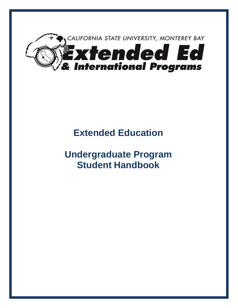

# **Extended Education**

# **Undergraduate Program Student Handbook**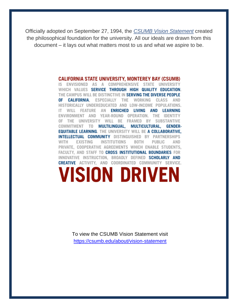Officially adopted on September 27, 1994, the *[CSUMB Vision Statement](https://csumb.edu/about/vision-statement)* created the philosophical foundation for the university. All our ideals are drawn from this document – it lays out what matters most to us and what we aspire to be.

## **CALIFORNIA STATE UNIVERSITY, MONTEREY BAY (CSUMB)**

IS ENVISIONED AS A COMPREHENSIVE STATE UNIVERSITY WHICH VALUES SERVICE THROUGH HIGH QUALITY EDUCATION. THE CAMPUS WILL BE DISTINCTIVE IN SERVING THE DIVERSE PEOPLE 0F **CALIFORNIA.** ESPECIALLY THE WORKING CLASS AND HISTORICALLY UNDEREDUCATED AND LOW-INCOME POPULATIONS. **ENRICHED LIVING** IT. WILL FEATURE AN AND LEARNING ENVIRONMENT AND YEAR-ROUND OPERATION. THE **IDENTITY** OF THE UNIVERSITY WILL BE FRAMED BY SUBSTANTIVE COMMITMENT TO MULTILINGUAL, MULTICULTURAL, **GENDER-EQUITABLE LEARNING. THE UNIVERSITY WILL BE A COLLABORATIVE. INTELLECTUAL COMMUNITY** DISTINGUISHED BY PARTNERSHIPS WITH **EXISTING INSTITUTIONS BOTH PUBLIC** AND PRIVATE, COOPERATIVE AGREEMENTS WHICH ENABLE STUDENTS, FACULTY, AND STAFF TO CROSS INSTITUTIONAL BOUNDARIES FOR INNOVATIVE INSTRUCTION, BROADLY DEFINED SCHOLARLY AND **CREATIVE** ACTIVITY. AND COORDINATED COMMUNITY SERVICE. **VISION DRIVEN** 

> To view the CSUMB Vision Statement visit <https://csumb.edu/about/vision-statement>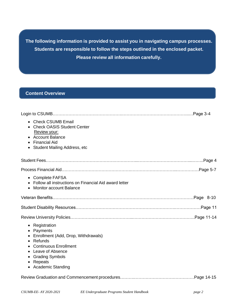**The following information is provided to assist you in navigating campus processes. Students are responsible to follow the steps outlined in the enclosed packet. Please review all information carefully.**

## **Content Overview**

| <b>Check CSUMB Email</b><br>$\bullet$<br>• Check OASIS Student Center<br><b>Review your:</b><br><b>Account Balance</b><br><b>Financial Aid</b><br>$\bullet$<br>Student Mailing Address, etc           |
|-------------------------------------------------------------------------------------------------------------------------------------------------------------------------------------------------------|
|                                                                                                                                                                                                       |
|                                                                                                                                                                                                       |
| • Complete FAFSA<br>Follow all instructions on Financial Aid award letter<br><b>Monitor account Balance</b><br>$\bullet$                                                                              |
|                                                                                                                                                                                                       |
|                                                                                                                                                                                                       |
|                                                                                                                                                                                                       |
|                                                                                                                                                                                                       |
| • Registration<br>• Payments<br>Enrollment (Add, Drop, Withdrawals)<br>• Refunds<br><b>Continuous Enrollment</b><br>Leave of Absence<br><b>Grading Symbols</b><br>٠<br>Repeats<br>• Academic Standing |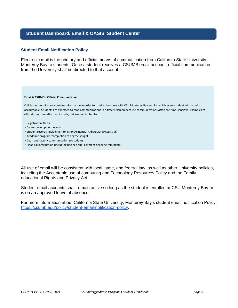## **Student Dashboard/ Email & OASIS Student Center**

#### **Student Email Notification Policy**

Electronic mail is the primary and official means of communication from California State University, Monterey Bay to students. Once a student receives a CSUMB email account, official communication from the University shall be directed to that account.

#### **Email is CSUMB's Official Communication**

Official communication contains information in order to conduct business with CSU Monterey Bay and for which every student will be held accountable. Students are expected to read communications in a timely fashion because communications often are time-sensitive. Examples of official communication can include, but are not limited to:

- Registration Alerts
- Career development events
- Student records (including Admissions/Financial Aid/Advising/Registrar)
- Academic program/completion of degree sought
- Dean and faculty communication to students
- Financial information (including balance due, payment deadline reminders)

All use of email will be consistent with local, state, and federal law, as well as other University policies, including the Acceptable use of computing and Technology Resources Policy and the Family educational Rights and Privacy Act.

Student email accounts shall remain active so long as the student is enrolled at CSU Monterey Bay or is on an approved leave of absence.

For more information about California State University, Monterey Bay's student email notification Policy: [https://csumb.edu/policy/student-email-notification-policy.](https://csumb.edu/policy/student-email-notification-policy)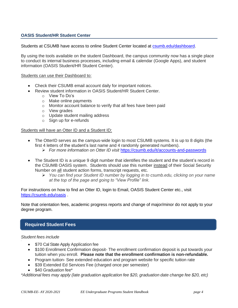## **OASIS Student/HR Student Center**

Students at CSUMB have access to online Student Center located at [csumb.edu/dashboard.](https://csumb.edu/dashboard/)

By using the tools available on the student Dashboard, the campus community now has a single place to conduct its internal business processes, including email & calendar (Google Apps), and student information (OASIS Student/HR Student Center).

#### Students can use their Dashboard to:

- Check their CSUMB email account daily for important notices.
- Review student information in OASIS Student/HR Student Center.
	- o View To Do's
	- o Make online payments
	- o Monitor account balance to verify that all fees have been paid
	- o View grades
	- o Update student mailing address
	- o Sign up for e-refunds

## Students will have an Otter ID and a Student ID:

- The OtterID serves as the campus-wide login to most CSUMB systems. It is up to 8 digits (the first 4 letters of the student's last name and 4 randomly generated numbers).
	- ➢ *For more information on Otter ID visit* <https://csumb.edu/it/accounts-and-passwords>
- The Student ID is a unique 9 digit number that identifies the student and the student's record in the CSUMB OASIS system. Students should use this number instead of their Social Security Number on all student action forms, transcript requests, etc.
	- ➢ *You can find your Student ID number by logging in to csumb.edu, clicking on your name at the top of the page and going to "View Profile" link.*

For instructions on how to find an Otter ID, login to Email, OASIS Student Center etc., visit <https://csumb.edu/oasis> .

Note that orientation fees, academic progress reports and change of major/minor do not apply to your degree program.

## **Required Student Fees**

## *Student fees include*

- \$70 Cal State Apply Application fee
- \$100 Enrollment Confirmation deposit- The enrollment confirmation deposit is put towards your tuition when you enroll. **Please note that the enrollment confirmation is non-refundable.**
- Program tuition- See extended education and program website for specific tuition rate
- \$39 Extended Ed Services Fee (charged once per semester)
- \$40 Graduation fee\*

*\*Additional fees may apply (late graduation application fee \$20, graduation date change fee \$20, etc)*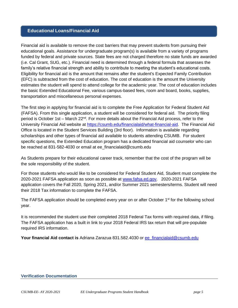## **Educational Loans/Financial Aid**

Financial aid is available to remove the cost barriers that may prevent students from pursuing their educational goals. Assistance for undergraduate program(s) is available from a variety of programs funded by federal and private sources. State fees are not charged therefore no state funds are awarded (i.e. Cal Grant, SUG, etc.). Financial need is determined through a federal formula that assesses the family's relative financial strength and ability to contribute to meeting the student's educational costs. Eligibility for financial aid is the amount that remains after the student's Expected Family Contribution (EFC) is subtracted from the cost of education. The cost of education is the amount the University estimates the student will spend to attend college for the academic year. The cost of education includes the basic Extended Educational Fee, various campus-based fees, room and board, books, supplies, transportation and miscellaneous personal expenses.

The first step in applying for financial aid is to complete the Free Application for Federal Student Aid (FAFSA). From this single application, a student will be considered for federal aid. The priority filing period is October 1st – March 22<sup>nd</sup>. For more details about the Financial Aid process, refer to the University Financial Aid website at [https://csumb.edu/financialaid/what-financial-aid.](https://csumb.edu/financialaid/what-financial-aid) The Financial Aid Office is located in the Student Services Building (3rd floor). Information is available regarding scholarships and other types of financial aid available to students attending CSUMB. For student specific questions, the Extended Education program has a dedicated financial aid counselor who can be reached at 831-582-4030 or email at ee\_financialaid@csumb.edu

As Students prepare for their educational career track, remember that the cost of the program will be the sole responsibility of the student.

For those students who would like to be considered for Federal Student Aid, Student must complete the 2020-2021 FAFSA application as soon as possible at [www.fafsa.ed.gov.](http://www.fafsa.ed.gov/) 2020-2021 FAFSA application covers the Fall 2020, Spring 2021, and/or Summer 2021 semesters/terms. Student will need their 2018 Tax information to complete the FAFSA.

The FAFSA application should be completed every year on or after October 1<sup>st</sup> for the following school year.

It is recommended the student use their completed 2018 Federal Tax forms with required data, if filing. The FAFSA application has a built in link to your 2018 Federal IRS tax return that will pre-populate required IRS information.

**Your financial Aid contact is** Adriana Zarazua 831.582.4030 or ee**\_**[financialaid@csumb.edu](mailto:ee_financialaid@csumb.edu)

## **Verification Documentation**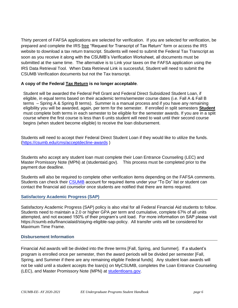Thirty percent of FAFSA applications are selected for verification. If you are selected for verification, be prepared and complete the IRS free "Request for Transcript of Tax Return" form or access the IRS website to download a tax return transcript. Students will need to submit the Federal Tax Transcript as soon as you receive it along with the CSUMB's Verification Worksheet, all documents must be submitted at the same time. The alternative is to Link your taxes on the FAFSA application using the IRS Data Retrieval Tool. When Data Retrieval Link is successful, Student will need to submit the CSUMB Verification documents but not the Tax transcript.

## **A copy of the Federal Tax Return is no longer acceptable**.

Student will be awarded the Federal Pell Grant and Federal Direct Subsidized Student Loan, if eligible, in equal terms based on their academic terms/semester course dates (i.e. Fall A & Fall B terms – Spring A & Spring B terms). Summer is a manual process and if you have any remaining eligibility you will be awarded, again, per term for the semester. If enrolled in split semesters **Student** must complete both terms in each semester to be eligible for the semester awards. If you are in a split course where the first course is less than 6 units student will need to wait until their second course begins (when student become eligible) to receive the loan disbursement.

Students will need to accept their Federal Direct Student Loan if they would like to utilize the funds. [\(https://csumb.edu/cms/acceptdecline-awards](https://csumb.edu/cms/acceptdecline-awards) )

Students who accept any student loan must complete their Loan Entrance Counseling (LEC) and Master Promissory Note (MPN) at (studentaid.gov). This process must be completed prior to the payment due deadline.

Students will also be required to complete other verification items depending on the FAFSA comments. Students can check their [CSUMB](https://sso.csumb.edu/cas/login) account for required items under your "To Do" list or student can contact the financial aid counselor once students are notified that there are items required.

## **Satisfactory Academic Progress (SAP)**

Satisfactory Academic Progress (SAP) policy is also vital for all Federal Financial Aid students to follow. Students need to maintain a 2.0 or higher GPA per term and cumulative, complete 67% of all units attempted, and not exceed 150% of their program's unit load. For more information on SAP please visit https://csumb.edu/financialaid/staying-eligible-sap-policy. All transfer units will be considered for Maximum Time Frame.

## **Disbursement Information**

Financial Aid awards will be divided into the three terms [Fall, Spring, and Summer]. If a student's program is enrolled once per semester, then the award periods will be divided per semester [Fall, Spring, and Summer if there are any remaining eligible Federal funds]. Any student loan awards will not be valid until a student accepts the loan(s) on MyCSUMB, completes the Loan Entrance Counseling (LEC), and Master Promissory Note (MPN) at [studentloans.gov.](https://studentloans.gov/myDirectLoan/index.action)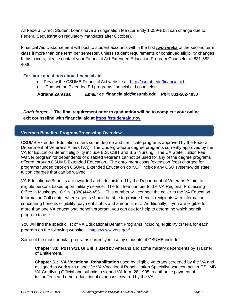All Federal Direct Student Loans have an origination fee (currently 1.059% but can change due to Federal Sequestration regulatory mandates after October).

Financial Aid Disbursement will post to student accounts within the first *two weeks* of the second term class if more than one term per semester, unless student requirements or continued eligibility changes. If this occurs, please contact your Financial Aid Extended Education Program Counselor at 831-582- 4030.

## **For more questions about financial aid**

- Review the CSUMB Financial Aid website at http://csumb.edu/financialaid
- Contact the Extended Ed programs financial aid counselor:

**Adriana Zarazua** *Email:* **ee\_financialaid@csumb.edu** *[P](mailto:mdorado@csumb.edu)h#:* **831-582-4030**

*Don't forget…* **The final requirement prior to graduation will be to complete your online exit counseling with financial aid at [https://studentaid.gov](https://studentaid.gov/)**.

## **Veterans Benefits- Program/Processing Overview**

CSUMB Extended Education offers some degree and certificate programs approved by the Federal Department of Veterans Affairs (VA). The Undergraduate degree programs currently approved by the VA for Education Benefit eligibility include B.S. CSIT and B.S. Nursing. The CA State Tuition Fee Waiver program for dependents of disabled veterans cannot be used for any of the degree programs offered through CSUMB Extended Education. The enrollment costs (extension fees) charged for programs funded through CSUMB Extended Education do NOT include any CSU system-wide state tuition charges that can be waived.

VA Educational Benefits are awarded and administered by the Department of Veterans Affairs to eligible persons based upon military service. The toll-free number to the VA Regional Processing Office in Muskogee, OK is 1(888)442-4551. This number will connect the caller to the VA Education Information Call center where agents should be able to provide benefit recipients with information concerning benefits eligibility, payment status and amounts, etc. Additionally, if you are eligible for more than one VA educational benefit program, you can ask for help to determine which benefit program to use.

You will find the specific list of VA Educational Benefit Programs including eligibility criteria for each program on the following website: . https://www.vets.gov/

Some of the most popular programs currently in use by students at CSUMB include:

**Chapter 33: Post 9/11 GI Bill** is used by veterans and some military dependents by Transfer of Entitlement.

**Chapter 31: VA Vocational Rehabilitation** used by eligible veterans screened by the VA and assigned to work with a specific VA Vocational Rehabilitation Specialist who contacts a CSUMB VA Certifying Official and submits a signed VA form 28-1905 to authorize payment of tuition/fees and other educational expenses covered by the VA.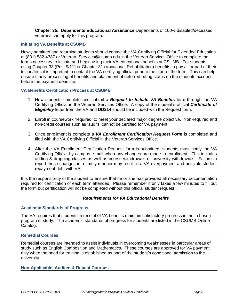**Chapter 35: Dependents Educational Assistance** Dependents of 100% disabled/deceased veterans can apply for this program.

## **Initiating VA Benefits at CSUMB**

Newly admitted and returning students should contact the VA Certifying Official for Extended Education at (831) 582-4387 or Veteran\_Services@csumb.edu in the Veteran Services Office to complete the forms necessary to initiate and begin using their VA educational benefits at CSUMB. For students using Chapter 33 (Post 9/11) or Chapter 31 (Vocational Rehabilitation) benefits to pay all or part of their tuition/fees it is important to contact the VA certifying official prior to the start of the term. This can help ensure timely processing of benefits and placement of deferred billing status on the students account before the payment deadline.

## **VA Benefits Certification Process at CSUMB**

- 1. New students complete and submit a *Request to Initiate VA Benefits* form through the VA Certifying Official in the Veteran Services Office. A copy of the student's official *Certificate of Eligibility* letter from the VA and **DD214** should be included with the Request form.
- 2. Enroll in coursework 'required' to meet your declared major degree objective. Non-required and non-credit courses such as 'audits' cannot be certified for VA payment.
- 3. Once enrollment is complete a *VA Enrollment Certification Request Form* is completed and filed with the VA Certifying Official in the Veteran Services Office.
- 4. After the VA Enrollment Certification Request form is submitted, students must notify the VA Certifying Official by campus e-mail when any changes are made to enrollment. This includes adding & dropping classes as well as course withdrawals or university withdrawals. Failure to report these changes in a timely manner may result in a VA overpayment and possible student repayment debt with VA.

It is the responsibility of the student to ensure that he or she has provided all necessary documentation required for certification of each term attended. Please remember it only takes a few minutes to fill out the form but certification will not be completed without this official student request.

## *Requirements for VA Educational Benefits*

## **Academic Standards of Progress**

The VA requires that students in receipt of VA benefits maintain satisfactory progress in their chosen program of study. The academic standards of progress for students are listed in the CSUMB Online Catalog.

## **Remedial Courses**

Remedial courses are intended to assist individuals in overcoming weaknesses in particular areas of study such as English Composition and Mathematics. These courses are approved for VA payment only when the need for training is established as part of the student's conditional admission to the university.

## **Non-Applicable, Audited & Repeat Courses**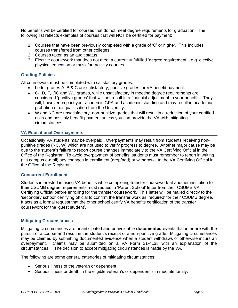No benefits will be certified for courses that do not meet degree requirements for graduation. The following list reflects examples of courses that will NOT be certified for payment:

- 1. Courses that have been previously completed with a grade of 'C' or higher. This includes courses transferred from other colleges.
- 2. Courses taken as an audit status.
- 3. Elective coursework that does not meet a current unfulfilled 'degree requirement'. e.g. elective physical education or music/art activity courses.

## **Grading Policies**

All coursework must be completed with satisfactory grades:

- Letter grades A, B & C are satisfactory, punitive grades for VA benefit payment.
- C-, D, F, I/IC and WU grades, while unsatisfactory in meeting degree requirements are considered 'punitive grades' that will not result in a financial adjustment to your benefits. They will, however, impact your academic GPA and academic standing and may result in academic probation or disqualification from the University.
- W and NC are unsatisfactory, non-punitive grades that will result in a reduction of your certified units and possibly benefit payment unless you can provide the VA with mitigating circumstances.

## **VA Educational Overpayments**

Occasionally VA students may be overpaid. Overpayments may result from students receiving nonpunitive grades (NC, W) which are not used to verify progress to degree. Another major cause may be due to the student's failure to report course changes immediately to the VA Certifying Official in the Office of the Registrar. To avoid overpayment of benefits, students must remember to report in writing (via campus e-mail) any changes in enrollment (drop/add) or withdrawal to the VA Certifying Official in the Office of the Registrar.

## **Concurrent Enrollment**

Students interested in using VA benefits while completing transfer coursework at another institution for their CSUMB degree requirements must request a 'Parent School' letter from their CSUMB VA Certifying Official before enrolling for the transfer coursework. This letter will be mailed directly to the 'secondary school' certifying official to confirm the transfer work as 'required' for their CSUMB degree. It acts as a formal request that the other school certify VA benefits certification of the transfer coursework for the 'guest student'.

## **Mitigating Circumstances**

Mitigating circumstances are unanticipated and unavoidable **documented** events that interfere with the pursuit of a course and result in the student's receipt of a non-punitive grade. Mitigating circumstances may be claimed by submitting documented evidence when a student withdraws or otherwise incurs an overpayment. Claims may be submitted on a VA Form 21-4138 with an explanation of the circumstances. The decision to accept mitigating circumstances is made by the VA.

The following are some general categories of mitigating circumstances:

- Serious illness of the veteran or dependent.
- Serious illness or death in the eligible veteran's or dependent's immediate family.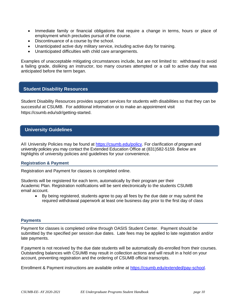- Immediate family or financial obligations that require a change in terms, hours or place of employment which precludes pursuit of the course.
- Discontinuance of a course by the school.
- Unanticipated active duty military service, including active duty for training.
- Unanticipated difficulties with child care arrangements.

Examples of unacceptable mitigating circumstances include, but are not limited to: withdrawal to avoid a failing grade, disliking an instructor, too many courses attempted or a call to active duty that was anticipated before the term began.

## **Student Disability Resources**

Student Disability Resources provides support services for students with disabilities so that they can be successful at CSUMB. For additional information or to make an appointment visit https://csumb.edu/sdr/getting-started.

## **University Guidelines**

All University Policies may be found at [https://csumb.edu/policy.](https://csumb.edu/policy) For clarification of program and university policies you may contact the Extended Education Office at (831)582-5159. Below are highlights of university policies and guidelines for your convenience.

## **Registration & Payment**

Registration and Payment for classes is completed online.

Students will be registered for each term, automatically by their program per their Academic Plan. Registration notifications will be sent electronically to the students CSUMB email account.

• By being registered, students agree to pay all fees by the due date or may submit the required withdrawal paperwork at least one business day prior to the first day of class

#### **Payments**

Payment for classes is completed online through OASIS Student Center. Payment should be submitted by the specified per session due dates. Late fees may be applied to late registration and/or late payments.

If payment is not received by the due date students will be automatically dis-enrolled from their courses. Outstanding balances with CSUMB may result in collection actions and will result in a hold on your account, preventing registration and the ordering of CSUMB official transcripts.

Enrollment & Payment instructions are available online at [https://csumb.edu/extended/pay-school.](https://csumb.edu/extended/pay-school)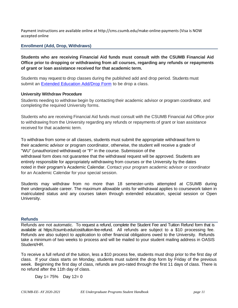Payment instructions are available online at http://cms.csumb.edu/make-online-payments (Visa is NOW accepted online

## **Enrollment (Add, Drop, Withdraws)**

**Students who are receiving Financial Aid funds must consult with the CSUMB Financial Aid Office prior to dropping or withdrawing from all courses, regarding any refunds or repayments of grant or loan assistance received for that academic term.**

Students may request to drop classes during the published add and drop period. Students must submit an [Extended Education Add/Drop Form](https://drive.google.com/a/csumb.edu/file/d/0B-da44ml-tc5cExEQkdlamhDZXd1dFVLeG8wV3RGakYycDBj/view?usp=sharing) to be drop a class.

## **University Withdraw Procedure**

Students needing to withdraw begin by contacting their academic advisor or program coordinator, and completing the required University forms.

Students who are receiving Financial Aid funds must consult with the CSUMB Financial Aid Office prior to withdrawing from the University regarding any refunds or repayments of grant or loan assistance received for that academic term.

To withdraw from some or all classes, students must submit the appropriate withdrawal form to their academic advisor or program coordinator, otherwise, the student will receive a grade of "WU" (unauthorized withdrawal) or "F" in the course. Submission of the withdrawal form does not guarantee that the withdrawal request will be approved. Students are entirely responsible for appropriately withdrawing from courses or the University by the dates noted in their program's Academic Calendar. Contact your program academic advisor or coordinator for an Academic Calendar for your special session.

Students may withdraw from no more than 18 semester-units attempted at CSUMB during their undergraduate career. The maximum allowable units for withdrawal applies to coursework taken in matriculated status and any courses taken through extended education, special session or Open University.

## **Refunds**

Refunds are not automatic. To request a refund, complete the Student Fee and Tuition Refund form that is available at https://csumb.edu/cost/tuition-fee-refund. All refunds are subject to a \$10 processing fee. Refunds are also subject to application to other financial obligations owed to the University. Refunds take a minimum of two weeks to process and will be mailed to your student mailing address in OASIS Student/HR.

To receive a full refund of the tuition, less a \$10 process fee, students must drop prior to the first day of class. If your class starts on Monday, students must submit the drop form by Friday of the previous week. Beginning the first day of class, refunds are pro-rated through the first 11 days of class. There is no refund after the 11th day of class.

Day  $1 = 75\%$  Day  $12 = 0$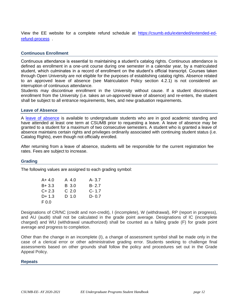View the EE website for a complete refund schedule at [https://csumb.edu/extended/extended-ed](https://csumb.edu/extended/extended-ed-refund-process)[refund-process](https://csumb.edu/extended/extended-ed-refund-process) .

## **Continuous Enrollment**

Continuous attendance is essential to maintaining a student's catalog rights. Continuous attendance is defined as enrollment in a one-unit course during one semester in a calendar year, by a matriculated student, which culminates in a record of enrollment on the student's official transcript. Courses taken through Open University are not eligible for the purposes of establishing catalog rights. Absence related to an approved leave of absence (see Matriculation Policy section 4.2.1) is not considered an interruption of continuous attendance.

Students may discontinue enrollment in the University without cause. If a student discontinues enrollment from the University (i.e. takes an un-approved leave of absence) and re-enters, the student shall be subject to all entrance requirements, fees, and new graduation requirements.

## **Leave of Absence**

A [leave of absence](https://s3.amazonaws.com/csumb-uploads/iMclu864ROCXoWLJ69dT_Leave%20of%20Absence.pdf) is available to undergraduate students who are in good academic standing and have attended at least one term at CSUMB prior to requesting a leave. A leave of absence may be granted to a student for a maximum of two consecutive semesters. A student who is granted a leave of absence maintains certain rights and privileges ordinarily associated with continuing student status (i.e. Catalog Rights), even though not officially enrolled.

After returning from a leave of absence, students will be responsible for the current registration fee rates. Fees are subject to increase.

## **Grading**

The following values are assigned to each grading symbol:

| A+ 4.0 | A 4.0            | $A - 3.7$ |
|--------|------------------|-----------|
| B+ 3.3 | B 3.0            | $B - 2.7$ |
| C+ 2.3 | C <sub>2.0</sub> | $C - 1.7$ |
| D+ 1.3 | D 1.0            | $D - 0.7$ |
| F 0.0  |                  |           |

Designations of CR/NC (credit and non-credit), I (incomplete), W (withdrawal), RP (report in progress), and AU (audit) shall not be calculated in the grade point average. Designations of IC (incomplete charged) and WU (withdrawal unauthorized) shall be counted as a failing grade (F) for grade point average and progress to completion.

Other than the change in an incomplete (I), a change of assessment symbol shall be made only in the case of a clerical error or other administrative grading error. Students seeking to challenge final assessments based on other grounds shall follow the policy and procedures set out in the Grade Appeal Policy.

## **Repeats**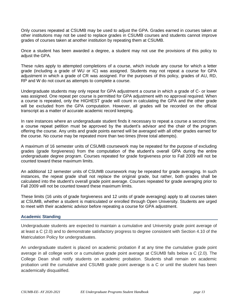Only courses repeated at CSUMB may be used to adjust the GPA. Grades earned in courses taken at other institutions may not be used to replace grades in CSUMB courses and students cannot improve grades of courses taken at another institution by repeating them at CSUMB.

Once a student has been awarded a degree, a student may not use the provisions of this policy to adjust the GPA.

These rules apply to attempted completions of a course, which include any course for which a letter grade (including a grade of WU or IC) was assigned. Students may not repeat a course for GPA adjustment in which a grade of CR was assigned. For the purposes of this policy, grades of AU, RD, RP and W do not count as attempts to complete a course.

Undergraduate students may only repeat for GPA adjustment a course in which a grade of C- or lower was assigned. One repeat per course is permitted for GPA adjustment with no approval required. When a course is repeated, only the HIGHEST grade will count in calculating the GPA and the other grade will be excluded from the GPA computation. However, all grades will be recorded on the official transcript as a matter of accurate academic record keeping.

In rare instances where an undergraduate student finds it necessary to repeat a course a second time, a course repeat petition must be approved by the student's advisor and the chair of the program offering the course. Any units and grade points earned will be averaged with all other grades earned for the course. No course may be repeated more than two times (three total attempts).

A maximum of 16 semester units of CSUMB coursework may be repeated for the purpose of excluding grades (grade forgiveness) from the computation of the student's overall GPA during the entire undergraduate degree program. Courses repeated for grade forgiveness prior to Fall 2009 will not be counted toward these maximum limits.

An additional 12 semester units of CSUMB coursework may be repeated for grade averaging. In such instances, the repeat grade shall not replace the original grade, but rather, both grades shall be calculated into the student's overall grade point average. Courses repeated for grade averaging prior to Fall 2009 will not be counted toward these maximum limits.

These limits (16 units of grade forgiveness and 12 units of grade averaging) apply to all courses taken at CSUMB, whether a student is matriculated or enrolled through Open University. Students are urged to meet with their academic advisor before repeating a course for GPA adjustment.

## **Academic Standing**

Undergraduate students are expected to maintain a cumulative and University grade point average of at least a C (2.0) and to demonstrate satisfactory progress to degree consistent with Section 4.10 of the Matriculation Policy for undergraduates.

An undergraduate student is placed on academic probation if at any time the cumulative grade point average in all college work or a cumulative grade point average at CSUMB falls below a C (2.0). The College Dean shall notify students on academic probation. Students shall remain on academic probation until the cumulative and CSUMB grade point average is a C or until the student has been academically disqualified.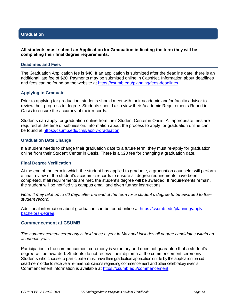## **Graduation**

## **All students must submit an Application for Graduation indicating the term they will be completing their final degree requirements.**

#### **Deadlines and Fees**

The Graduation Application fee is \$40. If an application is submitted after the deadline date, there is an additional late fee of \$20. Payments may be submitted online in CashNet. Information about deadlines and fees can be found on the website at<https://csumb.edu/planning/fees-deadlines>.

#### **Applying to Graduate**

Prior to applying for graduation, students should meet with their academic and/or faculty advisor to review their progress to degree. Students should also view their Academic Requirements Report in Oasis to ensure the accuracy of their records.

Students can apply for graduation online from their Student Center in Oasis. All appropriate fees are required at the time of submission. Information about the process to apply for graduation online can be found at [https://csumb.edu/cms/apply-graduation.](https://csumb.edu/cms/apply-graduation)

#### **Graduation Date Change**

If a student needs to change their graduation date to a future term, they must re-apply for graduation online from their Student Center in Oasis. There is a \$20 fee for changing a graduation date.

#### **Final Degree Verification**

At the end of the term in which the student has applied to graduate, a graduation counselor will perform a final review of the student's academic records to ensure all degree requirements have been completed. If all requirements are met, the student's degree will be awarded. If requirements remain, the student will be notified via campus email and given further instructions.

*Note: It may take up to 60 days after the end of the term for a student's degree to be awarded to their student record.*

Additional information about graduation can be found online at [https://csumb.edu/planning/apply](https://csumb.edu/planning/apply-bachelors-degree)[bachelors-degree.](https://csumb.edu/planning/apply-bachelors-degree)

#### **Commencement at CSUMB**

*The commencement ceremony is held once a year in May and includes all degree candidates within an academic year.*

Participation in the commencement ceremony is voluntary and does not guarantee that a student's degree will be awarded. Students do not receive their diploma at the commencement ceremony. Students who choose to participate must have their graduation application on file by the application period deadline in order to receive all e-mail notifications regarding commencement and other celebratory events. Commencement information is available at [https://csumb.edu/commencement.](https://csumb.edu/commencement)